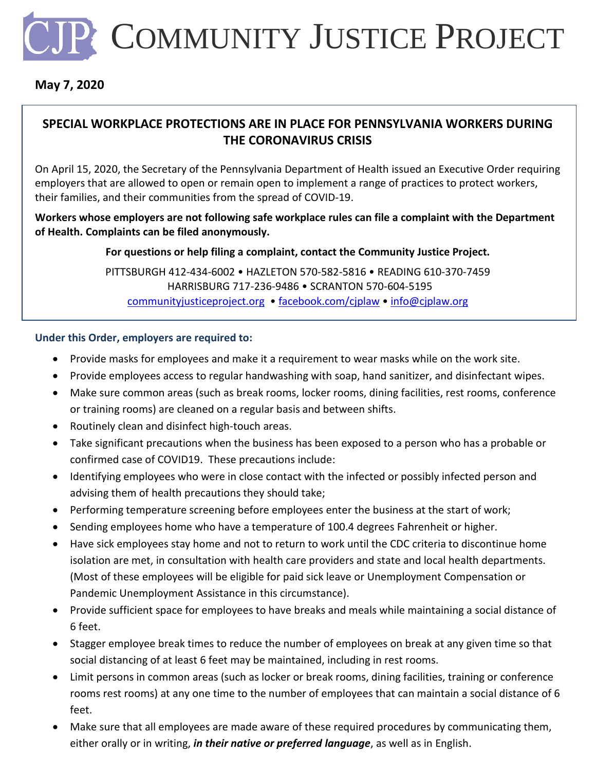

## **May 7, 2020**

## **SPECIAL WORKPLACE PROTECTIONS ARE IN PLACE FOR PENNSYLVANIA WORKERS DURING THE CORONAVIRUS CRISIS**

On April 15, 2020, the Secretary of the Pennsylvania Department of Health issued an Executive Order requiring employers that are allowed to open or remain open to implement a range of practices to protect workers, their families, and their communities from the spread of COVID-19.

**Workers whose employers are not following safe workplace rules can file a complaint with the Department of Health. Complaints can be filed anonymously.** 

**For questions or help filing a complaint, contact the Community Justice Project.**

PITTSBURGH 412-434-6002 • HAZLETON 570-582-5816 • READING 610-370-7459 HARRISBURG 717-236-9486 • SCRANTON 570-604-5195 [communityjusticeproject.org](mailto:communityjusticeproject.org) • [facebook.com/cjplaw](https://www.facebook.com/cjplaw) • [info@cjplaw.org](mailto:info@cjplaw.org)

## **Under this Order, employers are required to:**

- Provide masks for employees and make it a requirement to wear masks while on the work site.
- Provide employees access to regular handwashing with soap, hand sanitizer, and disinfectant wipes.
- Make sure common areas (such as break rooms, locker rooms, dining facilities, rest rooms, conference or training rooms) are cleaned on a regular basis and between shifts.
- Routinely clean and disinfect high-touch areas.
- Take significant precautions when the business has been exposed to a person who has a probable or confirmed case of COVID19. These precautions include:
- Identifying employees who were in close contact with the infected or possibly infected person and advising them of health precautions they should take;
- Performing temperature screening before employees enter the business at the start of work;
- Sending employees home who have a temperature of 100.4 degrees Fahrenheit or higher.
- Have sick employees stay home and not to return to work until the CDC criteria to discontinue home isolation are met, in consultation with health care providers and state and local health departments. (Most of these employees will be eligible for paid sick leave or Unemployment Compensation or Pandemic Unemployment Assistance in this circumstance).
- Provide sufficient space for employees to have breaks and meals while maintaining a social distance of 6 feet.
- Stagger employee break times to reduce the number of employees on break at any given time so that social distancing of at least 6 feet may be maintained, including in rest rooms.
- Limit persons in common areas (such as locker or break rooms, dining facilities, training or conference rooms rest rooms) at any one time to the number of employees that can maintain a social distance of 6 feet.
- Make sure that all employees are made aware of these required procedures by communicating them, either orally or in writing, *in their native or preferred language*, as well as in English.